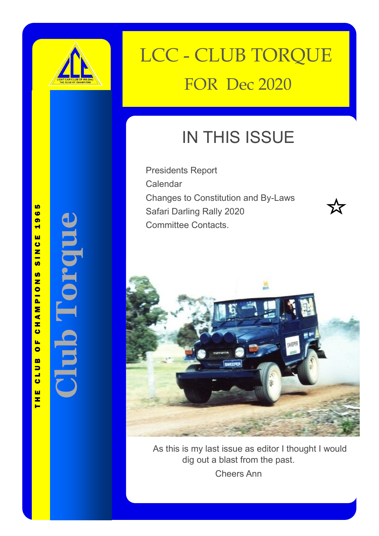

# LCC - CLUB TORQUE FOR Dec 2020

## IN THIS ISSUE

Presidents Report Calendar Changes to Constitution and By-Laws Safari Darling Rally 2020 Committee Contacts.



As this is my last issue as editor I thought I would dig out a blast from the past.

Cheers Ann

**I N S I D E T H I S I S S U E : Inside Story 2 Inside Story 2 Inside Story 2 Inside Story 3 Inside Story 4 Club Torque**

**Inside Story 5**

**Inside Story 6**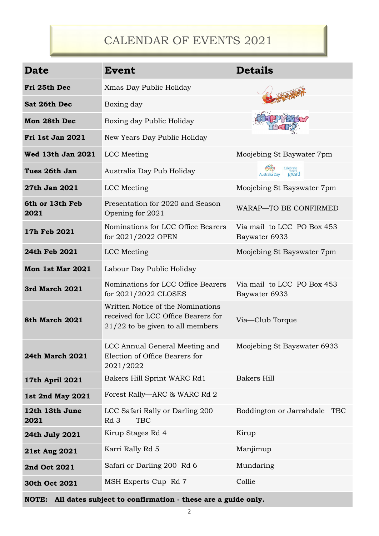### CALENDAR OF EVENTS 2021

| <b>Date</b>             | <b>Event</b>                                                                                                   | <b>Details</b>                              |  |
|-------------------------|----------------------------------------------------------------------------------------------------------------|---------------------------------------------|--|
| Fri 25th Dec            | Xmas Day Public Holiday                                                                                        |                                             |  |
| Sat 26th Dec            | Boxing day                                                                                                     |                                             |  |
| <b>Mon 28th Dec</b>     | Boxing day Public Holiday                                                                                      |                                             |  |
| Fri 1st Jan 2021        | New Years Day Public Holiday                                                                                   |                                             |  |
| Wed 13th Jan 2021       | LCC Meeting                                                                                                    | Moojebing St Baywater 7pm                   |  |
| Tues 26th Jan           | Australia Day Pub Holiday                                                                                      | Celebrate<br>great!<br><b>Australia Day</b> |  |
| 27th Jan 2021           | LCC Meeting                                                                                                    | Moojebing St Bayswater 7pm                  |  |
| 6th or 13th Feb<br>2021 | Presentation for 2020 and Season<br>Opening for 2021                                                           | WARAP-TO BE CONFIRMED                       |  |
| 17h Feb 2021            | Nominations for LCC Office Bearers<br>for 2021/2022 OPEN                                                       | Via mail to LCC PO Box 453<br>Baywater 6933 |  |
| 24th Feb 2021           | LCC Meeting                                                                                                    | Moojebing St Bayswater 7pm                  |  |
| Mon 1st Mar 2021        | Labour Day Public Holiday                                                                                      |                                             |  |
| <b>3rd March 2021</b>   | Nominations for LCC Office Bearers<br>for 2021/2022 CLOSES                                                     | Via mail to LCC PO Box 453<br>Baywater 6933 |  |
| 8th March 2021          | Written Notice of the Nominations<br>received for LCC Office Bearers for<br>$21/22$ to be given to all members | Via-Club Torque                             |  |
| <b>24th March 2021</b>  | LCC Annual General Meeting and<br>Election of Office Bearers for<br>2021/2022                                  | Moojebing St Bayswater 6933                 |  |
| 17th April 2021         | Bakers Hill Sprint WARC Rd1                                                                                    | <b>Bakers Hill</b>                          |  |
| 1st 2nd May 2021        | Forest Rally-ARC & WARC Rd 2                                                                                   |                                             |  |
| 12th 13th June<br>2021  | LCC Safari Rally or Darling 200<br><b>TBC</b><br>Rd 3                                                          | Boddington or Jarrahdale TBC                |  |
| 24th July 2021          | Kirup Stages Rd 4                                                                                              | Kirup                                       |  |
| 21st Aug 2021           | Karri Rally Rd 5                                                                                               | Manjimup                                    |  |
| 2nd Oct 2021            | Safari or Darling 200 Rd 6                                                                                     | Mundaring                                   |  |
| 30th Oct 2021           | MSH Experts Cup Rd 7                                                                                           | Collie                                      |  |
|                         | NOTE: All dates subject to confirmation - these are a guide only.                                              |                                             |  |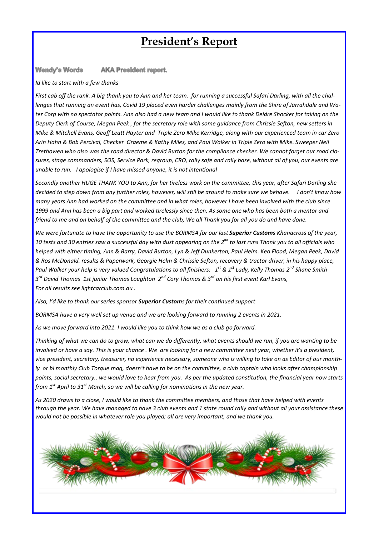#### **President's Report**

**Wendy's Words AKA President report.** 

*Id like to start with a few thanks*

*First cab off the rank. A big thank you to Ann and her team. for running a successful Safari Darling, with all the challenges that running an event has, Covid 19 placed even harder challenges mainly from the Shire of Jarrahdale and Water Corp with no spectator points. Ann also had a new team and I would like to thank Deidre Shocker for taking on the Deputy Clerk of Course, Megan Peek , for the secretary role with some guidance from Chrissie Sefton, new setters in Mike & Mitchell Evans, Geoff Leatt Hayter and Triple Zero Mike Kerridge, along with our experienced team in car Zero Arin Hahn & Bob Percival, Checker Graeme & Kathy Miles, and Paul Walker in Triple Zero with Mike. Sweeper Neil Trethowen who also was the road director & David Burton for the compliance checker. We cannot forget our road closures, stage commanders, SOS, Service Park, regroup, CRO, rally safe and rally base, without all of you, our events are unable to run. I apologise if I have missed anyone, it is not intentional*

*Secondly another HUGE THANK YOU to Ann, for her tireless work on the committee, this year, after Safari Darling she decided to step down from any further roles, however, will still be around to make sure we behave. I don't know how many years Ann had worked on the committee and in what roles, however I have been involved with the club since 1999 and Ann has been a big part and worked tirelessly since then. As some one who has been both a mentor and friend to me and on behalf of the committee and the club, We all Thank you for all you do and have done.*

*We were fortunate to have the opportunity to use the BORMSA for our last Superior Customs Khanacross of the year, 10 tests and 30 entries saw a successful day with dust appearing on the 2nd to last runs Thank you to all officials who helped with either timing, Ann & Barry, David Burton, Lyn & Jeff Dunkerton, Paul Helm. Kea Flood, Megan Peek, David & Ros McDonald. results & Paperwork, Georgie Helm & Chrissie Sefton, recovery & tractor driver, in his happy place, Paul Walker your help is very valued Congratulations to all finishers: 1st & 1st Lady, Kelly Thomas 2nd Shane Smith 3 rd David Thomas 1st junior Thomas Loughton 2nd Cory Thomas & 3rd on his first event Karl Evans, For all results see lightcarclub.com.au .* 

*Also, I'd like to thank our series sponsor Superior Customs for their continued support* 

*BORMSA have a very well set up venue and we are looking forward to running 2 events in 2021.* 

*As we move forward into 2021. I would like you to think how we as a club go forward.*

*Thinking of what we can do to grow, what can we do differently, what events should we run, if you are wanting to be involved or have a say. This is your chance . We are looking for a new committee next year, whether it's a president, vice president, secretary, treasurer, no experience necessary, someone who is willing to take on as Editor of our monthly or bi monthly Club Torque mag, doesn't have to be on the committee, a club captain who looks after championship points, social secretary.. we would love to hear from you. As per the updated constitution, the financial year now starts from 1st April to 31st March, so we will be calling for nominations in the new year.*

*As 2020 draws to a close, I would like to thank the committee members, and those that have helped with events through the year. We have managed to have 3 club events and 1 state round rally and without all your assistance these would not be possible in whatever role you played; all are very important, and we thank you.*



3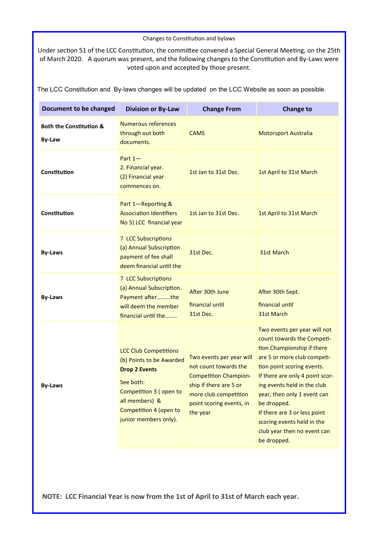#### Changes to Constitution and bylaws

Under section 51 of the LCC Constitution, the committee convened a Special General Meeting, on the 25th of March 2020. A quorum was present, and the following changes to the Constitution and By-Laws were voted upon and accepted by those present.

The LCC Constitution and By-laws changes will be updated on the LCC Website as soon as possible.

| Document to be changed                              | <b>Division or By-Law</b>                                                                                                                                                                    | <b>Change From</b>                                                                                                                                                           | <b>Change to</b>                                                                                                                                                                                                                                                                                                                                                                  |
|-----------------------------------------------------|----------------------------------------------------------------------------------------------------------------------------------------------------------------------------------------------|------------------------------------------------------------------------------------------------------------------------------------------------------------------------------|-----------------------------------------------------------------------------------------------------------------------------------------------------------------------------------------------------------------------------------------------------------------------------------------------------------------------------------------------------------------------------------|
| <b>Both the Constitution &amp;</b><br><b>By-Law</b> | <b>Numerous references</b><br>through out both<br>documents.                                                                                                                                 | <b>CAMS</b>                                                                                                                                                                  | <b>Motorsport Australia</b>                                                                                                                                                                                                                                                                                                                                                       |
| Constitution                                        | Part 1-<br>2. Financial year.<br>(2) Financial year<br>commences on.                                                                                                                         | 1st Jan to 31st Dec.                                                                                                                                                         | 1st April to 31st March                                                                                                                                                                                                                                                                                                                                                           |
| Constitution                                        | Part 1-Reporting &<br><b>Association Identifiers</b><br>No 5) LCC financial year                                                                                                             | 1st Jan to 31st Dec.                                                                                                                                                         | 1st April to 31st March                                                                                                                                                                                                                                                                                                                                                           |
| <b>By-Laws</b>                                      | 7 LCC Subscriptions<br>(a) Annual Subscription<br>payment of fee shall<br>deem financial until the                                                                                           | 31st Dec.                                                                                                                                                                    | 31st March                                                                                                                                                                                                                                                                                                                                                                        |
| <b>By-Laws</b>                                      | 7 LCC Subscriptions<br>(a) Annual Subscription.<br>Payment afterthe<br>will deem the member<br>financial until the                                                                           | After 30th June<br>financial until<br>31st Dec.                                                                                                                              | After 30th Sept.<br>financial until<br>31st March                                                                                                                                                                                                                                                                                                                                 |
| <b>By-Laws</b>                                      | <b>LCC Club Competitions</b><br>(b) Points to be Awarded<br><b>Drop 2 Events</b><br>See both:<br>Competition 3 (open to<br>all members) &<br>Competition 4 (open to<br>junior members only). | Two events per year will<br>not count towards the<br><b>Competition Champion-</b><br>ship if there are 5 or<br>more club competition<br>point scoring events, in<br>the year | Two events per year will not<br>count towards the Competi-<br>tion Championship if there<br>are 5 or more club competi-<br>tion point scoring events.<br>If there are only 4 point scor-<br>ing events held in the club<br>year, then only 1 event can<br>be dropped.<br>If there are 3 or less point<br>scoring events held in the<br>club year then no event can<br>be dropped. |

**NOTE: LCC Financial Year is now from the 1st of April to 31st of March each year.**

4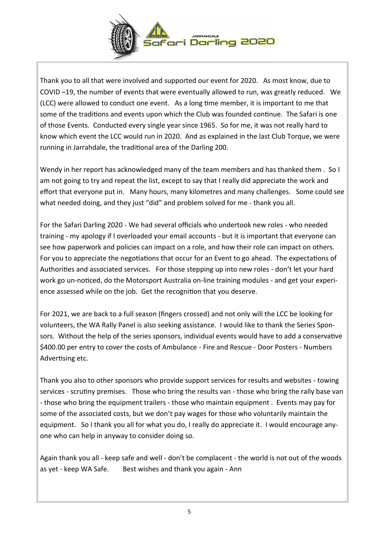

Thank you to all that were involved and supported our event for 2020. As most know, due to COVID –19, the number of events that were eventually allowed to run, was greatly reduced. We (LCC) were allowed to conduct one event. As a long time member, it is important to me that some of the traditions and events upon which the Club was founded continue. The Safari is one of those Events. Conducted every single year since 1965. So for me, it was not really hard to know which event the LCC would run in 2020. And as explained in the last Club Torque, we were running in Jarrahdale, the traditional area of the Darling 200.

Wendy in her report has acknowledged many of the team members and has thanked them . So I am not going to try and repeat the list, except to say that I really did appreciate the work and effort that everyone put in. Many hours, many kilometres and many challenges. Some could see what needed doing, and they just "did" and problem solved for me - thank you all.

For the Safari Darling 2020 - We had several officials who undertook new roles - who needed training - my apology if I overloaded your email accounts - but it is important that everyone can see how paperwork and policies can impact on a role, and how their role can impact on others. For you to appreciate the negotiations that occur for an Event to go ahead. The expectations of Authorities and associated services. For those stepping up into new roles - don't let your hard work go un-noticed, do the Motorsport Australia on-line training modules - and get your experience assessed while on the job. Get the recognition that you deserve.

For 2021, we are back to a full season (fingers crossed) and not only will the LCC be looking for volunteers, the WA Rally Panel is also seeking assistance. I would like to thank the Series Sponsors. Without the help of the series sponsors, individual events would have to add a conservative \$400.00 per entry to cover the costs of Ambulance - Fire and Rescue - Door Posters - Numbers Advertising etc.

Thank you also to other sponsors who provide support services for results and websites - towing services - scrutiny premises. Those who bring the results van - those who bring the rally base van - those who bring the equipment trailers - those who maintain equipment . Events may pay for some of the associated costs, but we don't pay wages for those who voluntarily maintain the equipment. So I thank you all for what you do, I really do appreciate it. I would encourage anyone who can help in anyway to consider doing so.

Again thank you all - keep safe and well - don't be complacent - the world is not out of the woods as yet - keep WA Safe. Best wishes and thank you again - Ann